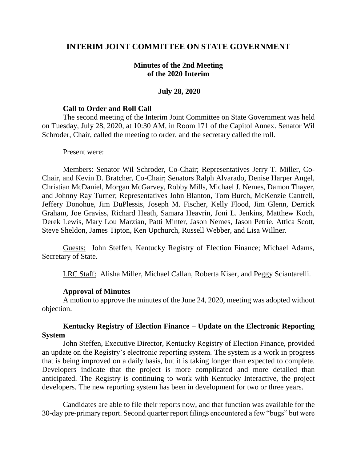# **INTERIM JOINT COMMITTEE ON STATE GOVERNMENT**

## **Minutes of the 2nd Meeting of the 2020 Interim**

### **July 28, 2020**

#### **Call to Order and Roll Call**

The second meeting of the Interim Joint Committee on State Government was held on Tuesday, July 28, 2020, at 10:30 AM, in Room 171 of the Capitol Annex. Senator Wil Schroder, Chair, called the meeting to order, and the secretary called the roll.

#### Present were:

Members: Senator Wil Schroder, Co-Chair; Representatives Jerry T. Miller, Co-Chair, and Kevin D. Bratcher, Co-Chair; Senators Ralph Alvarado, Denise Harper Angel, Christian McDaniel, Morgan McGarvey, Robby Mills, Michael J. Nemes, Damon Thayer, and Johnny Ray Turner; Representatives John Blanton, Tom Burch, McKenzie Cantrell, Jeffery Donohue, Jim DuPlessis, Joseph M. Fischer, Kelly Flood, Jim Glenn, Derrick Graham, Joe Graviss, Richard Heath, Samara Heavrin, Joni L. Jenkins, Matthew Koch, Derek Lewis, Mary Lou Marzian, Patti Minter, Jason Nemes, Jason Petrie, Attica Scott, Steve Sheldon, James Tipton, Ken Upchurch, Russell Webber, and Lisa Willner.

Guests: John Steffen, Kentucky Registry of Election Finance; Michael Adams, Secretary of State.

LRC Staff: Alisha Miller, Michael Callan, Roberta Kiser, and Peggy Sciantarelli.

### **Approval of Minutes**

A motion to approve the minutes of the June 24, 2020, meeting was adopted without objection.

## **Kentucky Registry of Election Finance – Update on the Electronic Reporting System**

John Steffen, Executive Director, Kentucky Registry of Election Finance, provided an update on the Registry's electronic reporting system. The system is a work in progress that is being improved on a daily basis, but it is taking longer than expected to complete. Developers indicate that the project is more complicated and more detailed than anticipated. The Registry is continuing to work with Kentucky Interactive, the project developers. The new reporting system has been in development for two or three years.

Candidates are able to file their reports now, and that function was available for the 30-day pre-primary report. Second quarter report filings encountered a few "bugs" but were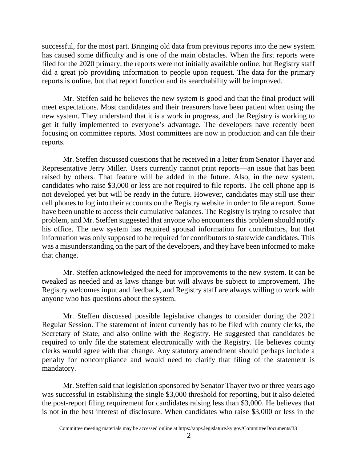successful, for the most part. Bringing old data from previous reports into the new system has caused some difficulty and is one of the main obstacles. When the first reports were filed for the 2020 primary, the reports were not initially available online, but Registry staff did a great job providing information to people upon request. The data for the primary reports is online, but that report function and its searchability will be improved.

Mr. Steffen said he believes the new system is good and that the final product will meet expectations. Most candidates and their treasurers have been patient when using the new system. They understand that it is a work in progress, and the Registry is working to get it fully implemented to everyone's advantage. The developers have recently been focusing on committee reports. Most committees are now in production and can file their reports.

Mr. Steffen discussed questions that he received in a letter from Senator Thayer and Representative Jerry Miller. Users currently cannot print reports—an issue that has been raised by others. That feature will be added in the future. Also, in the new system, candidates who raise \$3,000 or less are not required to file reports. The cell phone app is not developed yet but will be ready in the future. However, candidates may still use their cell phones to log into their accounts on the Registry website in order to file a report. Some have been unable to access their cumulative balances. The Registry is trying to resolve that problem, and Mr. Steffen suggested that anyone who encounters this problem should notify his office. The new system has required spousal information for contributors, but that information was only supposed to be required for contributors to statewide candidates. This was a misunderstanding on the part of the developers, and they have been informed to make that change.

Mr. Steffen acknowledged the need for improvements to the new system. It can be tweaked as needed and as laws change but will always be subject to improvement. The Registry welcomes input and feedback, and Registry staff are always willing to work with anyone who has questions about the system.

Mr. Steffen discussed possible legislative changes to consider during the 2021 Regular Session. The statement of intent currently has to be filed with county clerks, the Secretary of State, and also online with the Registry. He suggested that candidates be required to only file the statement electronically with the Registry. He believes county clerks would agree with that change. Any statutory amendment should perhaps include a penalty for noncompliance and would need to clarify that filing of the statement is mandatory.

Mr. Steffen said that legislation sponsored by Senator Thayer two or three years ago was successful in establishing the single \$3,000 threshold for reporting, but it also deleted the post-report filing requirement for candidates raising less than \$3,000. He believes that is not in the best interest of disclosure. When candidates who raise \$3,000 or less in the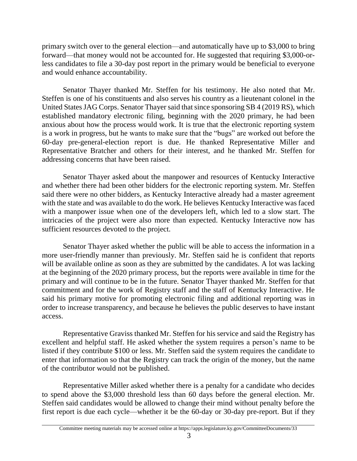primary switch over to the general election—and automatically have up to \$3,000 to bring forward—that money would not be accounted for. He suggested that requiring \$3,000-orless candidates to file a 30-day post report in the primary would be beneficial to everyone and would enhance accountability.

Senator Thayer thanked Mr. Steffen for his testimony. He also noted that Mr. Steffen is one of his constituents and also serves his country as a lieutenant colonel in the United States JAG Corps. Senator Thayer said that since sponsoring SB 4 (2019 RS), which established mandatory electronic filing, beginning with the 2020 primary, he had been anxious about how the process would work*.* It is true that the electronic reporting system is a work in progress, but he wants to make sure that the "bugs" are worked out before the 60-day pre-general-election report is due. He thanked Representative Miller and Representative Bratcher and others for their interest, and he thanked Mr. Steffen for addressing concerns that have been raised.

Senator Thayer asked about the manpower and resources of Kentucky Interactive and whether there had been other bidders for the electronic reporting system. Mr. Steffen said there were no other bidders, as Kentucky Interactive already had a master agreement with the state and was available to do the work. He believes Kentucky Interactive was faced with a manpower issue when one of the developers left, which led to a slow start. The intricacies of the project were also more than expected. Kentucky Interactive now has sufficient resources devoted to the project.

Senator Thayer asked whether the public will be able to access the information in a more user-friendly manner than previously. Mr. Steffen said he is confident that reports will be available online as soon as they are submitted by the candidates. A lot was lacking at the beginning of the 2020 primary process, but the reports were available in time for the primary and will continue to be in the future. Senator Thayer thanked Mr. Steffen for that commitment and for the work of Registry staff and the staff of Kentucky Interactive. He said his primary motive for promoting electronic filing and additional reporting was in order to increase transparency, and because he believes the public deserves to have instant access.

Representative Graviss thanked Mr. Steffen for his service and said the Registry has excellent and helpful staff. He asked whether the system requires a person's name to be listed if they contribute \$100 or less. Mr. Steffen said the system requires the candidate to enter that information so that the Registry can track the origin of the money, but the name of the contributor would not be published.

Representative Miller asked whether there is a penalty for a candidate who decides to spend above the \$3,000 threshold less than 60 days before the general election. Mr. Steffen said candidates would be allowed to change their mind without penalty before the first report is due each cycle—whether it be the 60-day or 30-day pre-report. But if they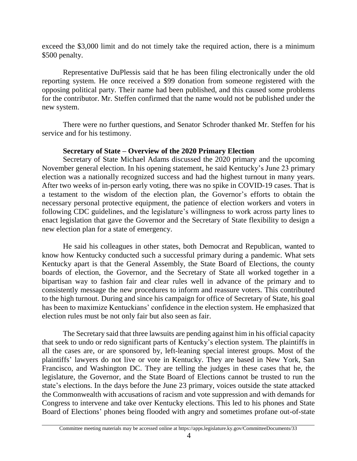exceed the \$3,000 limit and do not timely take the required action, there is a minimum \$500 penalty.

Representative DuPlessis said that he has been filing electronically under the old reporting system. He once received a \$99 donation from someone registered with the opposing political party. Their name had been published, and this caused some problems for the contributor. Mr. Steffen confirmed that the name would not be published under the new system.

There were no further questions, and Senator Schroder thanked Mr. Steffen for his service and for his testimony.

# **Secretary of State – Overview of the 2020 Primary Election**

Secretary of State Michael Adams discussed the 2020 primary and the upcoming November general election. In his opening statement, he said Kentucky's June 23 primary election was a nationally recognized success and had the highest turnout in many years. After two weeks of in-person early voting, there was no spike in COVID-19 cases. That is a testament to the wisdom of the election plan, the Governor's efforts to obtain the necessary personal protective equipment, the patience of election workers and voters in following CDC guidelines, and the legislature's willingness to work across party lines to enact legislation that gave the Governor and the Secretary of State flexibility to design a new election plan for a state of emergency.

He said his colleagues in other states, both Democrat and Republican, wanted to know how Kentucky conducted such a successful primary during a pandemic. What sets Kentucky apart is that the General Assembly, the State Board of Elections, the county boards of election, the Governor, and the Secretary of State all worked together in a bipartisan way to fashion fair and clear rules well in advance of the primary and to consistently message the new procedures to inform and reassure voters. This contributed to the high turnout. During and since his campaign for office of Secretary of State, his goal has been to maximize Kentuckians' confidence in the election system. He emphasized that election rules must be not only fair but also seen as fair.

The Secretary said that three lawsuits are pending against him in his official capacity that seek to undo or redo significant parts of Kentucky's election system. The plaintiffs in all the cases are, or are sponsored by, left-leaning special interest groups. Most of the plaintiffs' lawyers do not live or vote in Kentucky. They are based in New York, San Francisco, and Washington DC. They are telling the judges in these cases that he, the legislature, the Governor, and the State Board of Elections cannot be trusted to run the state's elections. In the days before the June 23 primary, voices outside the state attacked the Commonwealth with accusations of racism and vote suppression and with demands for Congress to intervene and take over Kentucky elections. This led to his phones and State Board of Elections' phones being flooded with angry and sometimes profane out-of-state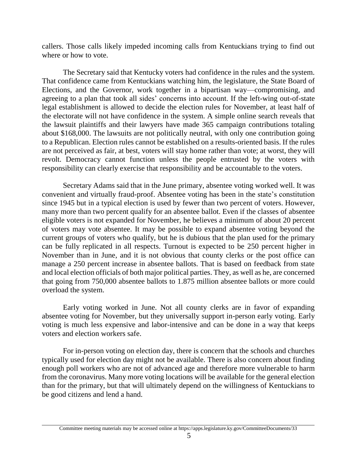callers. Those calls likely impeded incoming calls from Kentuckians trying to find out where or how to vote.

The Secretary said that Kentucky voters had confidence in the rules and the system. That confidence came from Kentuckians watching him, the legislature, the State Board of Elections, and the Governor, work together in a bipartisan way—compromising, and agreeing to a plan that took all sides' concerns into account. If the left-wing out-of-state legal establishment is allowed to decide the election rules for November, at least half of the electorate will not have confidence in the system. A simple online search reveals that the lawsuit plaintiffs and their lawyers have made 365 campaign contributions totaling about \$168,000. The lawsuits are not politically neutral, with only one contribution going to a Republican. Election rules cannot be established on a results-oriented basis. If the rules are not perceived as fair, at best, voters will stay home rather than vote; at worst, they will revolt. Democracy cannot function unless the people entrusted by the voters with responsibility can clearly exercise that responsibility and be accountable to the voters.

Secretary Adams said that in the June primary, absentee voting worked well. It was convenient and virtually fraud-proof. Absentee voting has been in the state's constitution since 1945 but in a typical election is used by fewer than two percent of voters. However, many more than two percent qualify for an absentee ballot. Even if the classes of absentee eligible voters is not expanded for November, he believes a minimum of about 20 percent of voters may vote absentee. It may be possible to expand absentee voting beyond the current groups of voters who qualify, but he is dubious that the plan used for the primary can be fully replicated in all respects. Turnout is expected to be 250 percent higher in November than in June, and it is not obvious that county clerks or the post office can manage a 250 percent increase in absentee ballots. That is based on feedback from state and local election officials of both major political parties. They, as well as he, are concerned that going from 750,000 absentee ballots to 1.875 million absentee ballots or more could overload the system.

Early voting worked in June. Not all county clerks are in favor of expanding absentee voting for November, but they universally support in-person early voting. Early voting is much less expensive and labor-intensive and can be done in a way that keeps voters and election workers safe.

For in-person voting on election day, there is concern that the schools and churches typically used for election day might not be available. There is also concern about finding enough poll workers who are not of advanced age and therefore more vulnerable to harm from the coronavirus. Many more voting locations will be available for the general election than for the primary, but that will ultimately depend on the willingness of Kentuckians to be good citizens and lend a hand.

Committee meeting materials may be accessed online at https://apps.legislature.ky.gov/CommitteeDocuments/33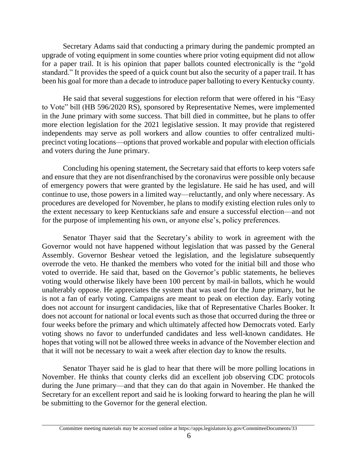Secretary Adams said that conducting a primary during the pandemic prompted an upgrade of voting equipment in some counties where prior voting equipment did not allow for a paper trail. It is his opinion that paper ballots counted electronically is the "gold standard." It provides the speed of a quick count but also the security of a paper trail. It has been his goal for more than a decade to introduce paper balloting to every Kentucky county.

He said that several suggestions for election reform that were offered in his "Easy to Vote" bill (HB 596/2020 RS), sponsored by Representative Nemes, were implemented in the June primary with some success. That bill died in committee, but he plans to offer more election legislation for the 2021 legislative session. It may provide that registered independents may serve as poll workers and allow counties to offer centralized multiprecinct voting locations—options that proved workable and popular with election officials and voters during the June primary.

Concluding his opening statement, the Secretary said that efforts to keep voters safe and ensure that they are not disenfranchised by the coronavirus were possible only because of emergency powers that were granted by the legislature. He said he has used, and will continue to use, those powers in a limited way—reluctantly, and only where necessary. As procedures are developed for November, he plans to modify existing election rules only to the extent necessary to keep Kentuckians safe and ensure a successful election—and not for the purpose of implementing his own, or anyone else's, policy preferences.

Senator Thayer said that the Secretary's ability to work in agreement with the Governor would not have happened without legislation that was passed by the General Assembly. Governor Beshear vetoed the legislation, and the legislature subsequently overrode the veto. He thanked the members who voted for the initial bill and those who voted to override. He said that, based on the Governor's public statements, he believes voting would otherwise likely have been 100 percent by mail-in ballots, which he would unalterably oppose. He appreciates the system that was used for the June primary, but he is not a fan of early voting. Campaigns are meant to peak on election day. Early voting does not account for insurgent candidacies, like that of Representative Charles Booker. It does not account for national or local events such as those that occurred during the three or four weeks before the primary and which ultimately affected how Democrats voted. Early voting shows no favor to underfunded candidates and less well-known candidates. He hopes that voting will not be allowed three weeks in advance of the November election and that it will not be necessary to wait a week after election day to know the results*.* 

Senator Thayer said he is glad to hear that there will be more polling locations in November. He thinks that county clerks did an excellent job observing CDC protocols during the June primary—and that they can do that again in November. He thanked the Secretary for an excellent report and said he is looking forward to hearing the plan he will be submitting to the Governor for the general election.

Committee meeting materials may be accessed online at https://apps.legislature.ky.gov/CommitteeDocuments/33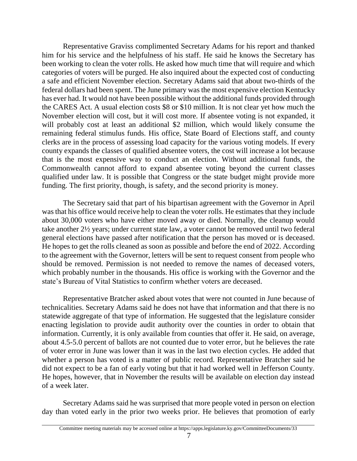Representative Graviss complimented Secretary Adams for his report and thanked him for his service and the helpfulness of his staff. He said he knows the Secretary has been working to clean the voter rolls. He asked how much time that will require and which categories of voters will be purged. He also inquired about the expected cost of conducting a safe and efficient November election. Secretary Adams said that about two-thirds of the federal dollars had been spent. The June primary was the most expensive election Kentucky has ever had. It would not have been possible without the additional funds provided through the CARES Act. A usual election costs \$8 or \$10 million. It is not clear yet how much the November election will cost, but it will cost more. If absentee voting is not expanded, it will probably cost at least an additional \$2 million, which would likely consume the remaining federal stimulus funds. His office, State Board of Elections staff, and county clerks are in the process of assessing load capacity for the various voting models. If every county expands the classes of qualified absentee voters, the cost will increase a lot because that is the most expensive way to conduct an election. Without additional funds, the Commonwealth cannot afford to expand absentee voting beyond the current classes qualified under law. It is possible that Congress or the state budget might provide more funding. The first priority, though, is safety, and the second priority is money.

The Secretary said that part of his bipartisan agreement with the Governor in April was that his office would receive help to clean the voter rolls. He estimates that they include about 30,000 voters who have either moved away or died. Normally, the cleanup would take another 2½ years; under current state law, a voter cannot be removed until two federal general elections have passed after notification that the person has moved or is deceased. He hopes to get the rolls cleaned as soon as possible and before the end of 2022. According to the agreement with the Governor, letters will be sent to request consent from people who should be removed. Permission is not needed to remove the names of deceased voters, which probably number in the thousands. His office is working with the Governor and the state's Bureau of Vital Statistics to confirm whether voters are deceased.

Representative Bratcher asked about votes that were not counted in June because of technicalities. Secretary Adams said he does not have that information and that there is no statewide aggregate of that type of information. He suggested that the legislature consider enacting legislation to provide audit authority over the counties in order to obtain that information. Currently, it is only available from counties that offer it. He said, on average, about 4.5-5.0 percent of ballots are not counted due to voter error, but he believes the rate of voter error in June was lower than it was in the last two election cycles. He added that whether a person has voted is a matter of public record. Representative Bratcher said he did not expect to be a fan of early voting but that it had worked well in Jefferson County. He hopes, however, that in November the results will be available on election day instead of a week later.

Secretary Adams said he was surprised that more people voted in person on election day than voted early in the prior two weeks prior. He believes that promotion of early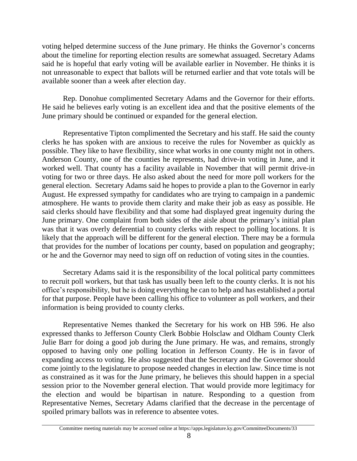voting helped determine success of the June primary. He thinks the Governor's concerns about the timeline for reporting election results are somewhat assuaged. Secretary Adams said he is hopeful that early voting will be available earlier in November. He thinks it is not unreasonable to expect that ballots will be returned earlier and that vote totals will be available sooner than a week after election day.

Rep. Donohue complimented Secretary Adams and the Governor for their efforts. He said he believes early voting is an excellent idea and that the positive elements of the June primary should be continued or expanded for the general election*.*

Representative Tipton complimented the Secretary and his staff. He said the county clerks he has spoken with are anxious to receive the rules for November as quickly as possible. They like to have flexibility, since what works in one county might not in others. Anderson County, one of the counties he represents, had drive-in voting in June, and it worked well. That county has a facility available in November that will permit drive-in voting for two or three days. He also asked about the need for more poll workers for the general election. Secretary Adams said he hopes to provide a plan to the Governor in early August. He expressed sympathy for candidates who are trying to campaign in a pandemic atmosphere. He wants to provide them clarity and make their job as easy as possible. He said clerks should have flexibility and that some had displayed great ingenuity during the June primary. One complaint from both sides of the aisle about the primary's initial plan was that it was overly deferential to county clerks with respect to polling locations. It is likely that the approach will be different for the general election. There may be a formula that provides for the number of locations per county, based on population and geography; or he and the Governor may need to sign off on reduction of voting sites in the counties.

Secretary Adams said it is the responsibility of the local political party committees to recruit poll workers, but that task has usually been left to the county clerks. It is not his office's responsibility, but he is doing everything he can to help and has established a portal for that purpose. People have been calling his office to volunteer as poll workers, and their information is being provided to county clerks.

Representative Nemes thanked the Secretary for his work on HB 596. He also expressed thanks to Jefferson County Clerk Bobbie Holsclaw and Oldham County Clerk Julie Barr for doing a good job during the June primary. He was, and remains, strongly opposed to having only one polling location in Jefferson County. He is in favor of expanding access to voting. He also suggested that the Secretary and the Governor should come jointly to the legislature to propose needed changes in election law. Since time is not as constrained as it was for the June primary, he believes this should happen in a special session prior to the November general election. That would provide more legitimacy for the election and would be bipartisan in nature. Responding to a question from Representative Nemes, Secretary Adams clarified that the decrease in the percentage of spoiled primary ballots was in reference to absentee votes.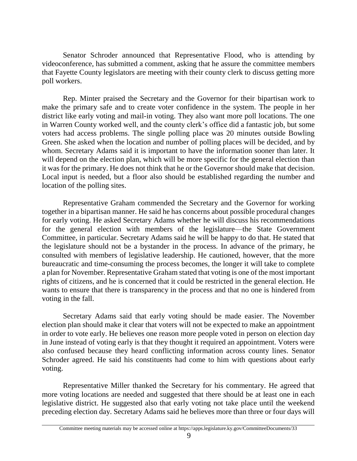Senator Schroder announced that Representative Flood, who is attending by videoconference, has submitted a comment, asking that he assure the committee members that Fayette County legislators are meeting with their county clerk to discuss getting more poll workers.

Rep. Minter praised the Secretary and the Governor for their bipartisan work to make the primary safe and to create voter confidence in the system. The people in her district like early voting and mail-in voting. They also want more poll locations. The one in Warren County worked well, and the county clerk's office did a fantastic job, but some voters had access problems. The single polling place was 20 minutes outside Bowling Green. She asked when the location and number of polling places will be decided, and by whom. Secretary Adams said it is important to have the information sooner than later. It will depend on the election plan, which will be more specific for the general election than it was for the primary. He does not think that he or the Governor should make that decision. Local input is needed, but a floor also should be established regarding the number and location of the polling sites.

Representative Graham commended the Secretary and the Governor for working together in a bipartisan manner. He said he has concerns about possible procedural changes for early voting. He asked Secretary Adams whether he will discuss his recommendations for the general election with members of the legislature—the State Government Committee, in particular. Secretary Adams said he will be happy to do that. He stated that the legislature should not be a bystander in the process. In advance of the primary, he consulted with members of legislative leadership. He cautioned, however, that the more bureaucratic and time-consuming the process becomes, the longer it will take to complete a plan for November. Representative Graham stated that voting is one of the most important rights of citizens, and he is concerned that it could be restricted in the general election. He wants to ensure that there is transparency in the process and that no one is hindered from voting in the fall.

Secretary Adams said that early voting should be made easier. The November election plan should make it clear that voters will not be expected to make an appointment in order to vote early. He believes one reason more people voted in person on election day in June instead of voting early is that they thought it required an appointment. Voters were also confused because they heard conflicting information across county lines. Senator Schroder agreed. He said his constituents had come to him with questions about early voting.

Representative Miller thanked the Secretary for his commentary. He agreed that more voting locations are needed and suggested that there should be at least one in each legislative district. He suggested also that early voting not take place until the weekend preceding election day. Secretary Adams said he believes more than three or four days will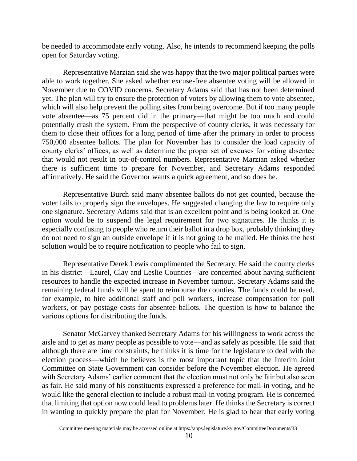be needed to accommodate early voting. Also, he intends to recommend keeping the polls open for Saturday voting.

Representative Marzian said she was happy that the two major political parties were able to work together. She asked whether excuse-free absentee voting will be allowed in November due to COVID concerns. Secretary Adams said that has not been determined yet. The plan will try to ensure the protection of voters by allowing them to vote absentee, which will also help prevent the polling sites from being overcome. But if too many people vote absentee—as 75 percent did in the primary—that might be too much and could potentially crash the system. From the perspective of county clerks, it was necessary for them to close their offices for a long period of time after the primary in order to process 750,000 absentee ballots. The plan for November has to consider the load capacity of county clerks' offices, as well as determine the proper set of excuses for voting absentee that would not result in out-of-control numbers. Representative Marzian asked whether there is sufficient time to prepare for November, and Secretary Adams responded affirmatively. He said the Governor wants a quick agreement, and so does he.

Representative Burch said many absentee ballots do not get counted, because the voter fails to properly sign the envelopes. He suggested changing the law to require only one signature. Secretary Adams said that is an excellent point and is being looked at. One option would be to suspend the legal requirement for two signatures. He thinks it is especially confusing to people who return their ballot in a drop box, probably thinking they do not need to sign an outside envelope if it is not going to be mailed. He thinks the best solution would be to require notification to people who fail to sign.

Representative Derek Lewis complimented the Secretary. He said the county clerks in his district—Laurel, Clay and Leslie Counties—are concerned about having sufficient resources to handle the expected increase in November turnout. Secretary Adams said the remaining federal funds will be spent to reimburse the counties. The funds could be used, for example, to hire additional staff and poll workers, increase compensation for poll workers, or pay postage costs for absentee ballots. The question is how to balance the various options for distributing the funds.

Senator McGarvey thanked Secretary Adams for his willingness to work across the aisle and to get as many people as possible to vote—and as safely as possible. He said that although there are time constraints, he thinks it is time for the legislature to deal with the election process—which he believes is the most important topic that the Interim Joint Committee on State Government can consider before the November election. He agreed with Secretary Adams' earlier comment that the election must not only be fair but also seen as fair. He said many of his constituents expressed a preference for mail-in voting, and he would like the general election to include a robust mail-in voting program. He is concerned that limiting that option now could lead to problems later. He thinks the Secretary is correct in wanting to quickly prepare the plan for November. He is glad to hear that early voting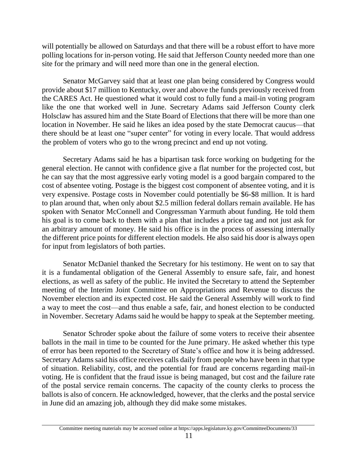will potentially be allowed on Saturdays and that there will be a robust effort to have more polling locations for in-person voting. He said that Jefferson County needed more than one site for the primary and will need more than one in the general election.

Senator McGarvey said that at least one plan being considered by Congress would provide about \$17 million to Kentucky, over and above the funds previously received from the CARES Act. He questioned what it would cost to fully fund a mail-in voting program like the one that worked well in June. Secretary Adams said Jefferson County clerk Holsclaw has assured him and the State Board of Elections that there will be more than one location in November. He said he likes an idea posed by the state Democrat caucus—that there should be at least one "super center" for voting in every locale. That would address the problem of voters who go to the wrong precinct and end up not voting.

Secretary Adams said he has a bipartisan task force working on budgeting for the general election. He cannot with confidence give a flat number for the projected cost, but he can say that the most aggressive early voting model is a good bargain compared to the cost of absentee voting. Postage is the biggest cost component of absentee voting, and it is very expensive. Postage costs in November could potentially be \$6-\$8 million. It is hard to plan around that, when only about \$2.5 million federal dollars remain available. He has spoken with Senator McConnell and Congressman Yarmuth about funding. He told them his goal is to come back to them with a plan that includes a price tag and not just ask for an arbitrary amount of money. He said his office is in the process of assessing internally the different price points for different election models. He also said his door is always open for input from legislators of both parties.

Senator McDaniel thanked the Secretary for his testimony. He went on to say that it is a fundamental obligation of the General Assembly to ensure safe, fair, and honest elections, as well as safety of the public. He invited the Secretary to attend the September meeting of the Interim Joint Committee on Appropriations and Revenue to discuss the November election and its expected cost. He said the General Assembly will work to find a way to meet the cost—and thus enable a safe, fair, and honest election to be conducted in November. Secretary Adams said he would be happy to speak at the September meeting.

Senator Schroder spoke about the failure of some voters to receive their absentee ballots in the mail in time to be counted for the June primary. He asked whether this type of error has been reported to the Secretary of State's office and how it is being addressed. Secretary Adams said his office receives calls daily from people who have been in that type of situation. Reliability, cost, and the potential for fraud are concerns regarding mail-in voting. He is confident that the fraud issue is being managed, but cost and the failure rate of the postal service remain concerns. The capacity of the county clerks to process the ballots is also of concern. He acknowledged, however, that the clerks and the postal service in June did an amazing job, although they did make some mistakes.